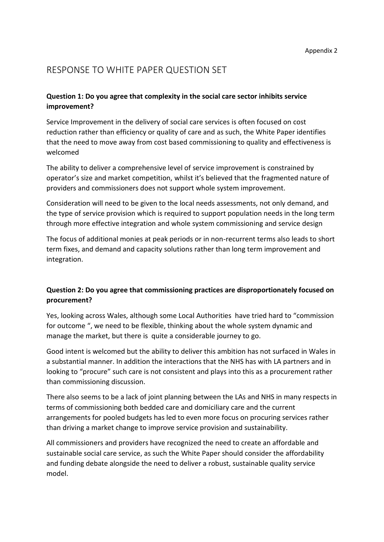# RESPONSE TO WHITE PAPER QUESTION SET

#### **Question 1: Do you agree that complexity in the social care sector inhibits service improvement?**

Service Improvement in the delivery of social care services is often focused on cost reduction rather than efficiency or quality of care and as such, the White Paper identifies that the need to move away from cost based commissioning to quality and effectiveness is welcomed

The ability to deliver a comprehensive level of service improvement is constrained by operator's size and market competition, whilst it's believed that the fragmented nature of providers and commissioners does not support whole system improvement.

Consideration will need to be given to the local needs assessments, not only demand, and the type of service provision which is required to support population needs in the long term through more effective integration and whole system commissioning and service design

The focus of additional monies at peak periods or in non-recurrent terms also leads to short term fixes, and demand and capacity solutions rather than long term improvement and integration.

## **Question 2: Do you agree that commissioning practices are disproportionately focused on procurement?**

Yes, looking across Wales, although some Local Authorities have tried hard to "commission for outcome ", we need to be flexible, thinking about the whole system dynamic and manage the market, but there is quite a considerable journey to go.

Good intent is welcomed but the ability to deliver this ambition has not surfaced in Wales in a substantial manner. In addition the interactions that the NHS has with LA partners and in looking to "procure" such care is not consistent and plays into this as a procurement rather than commissioning discussion.

There also seems to be a lack of joint planning between the LAs and NHS in many respects in terms of commissioning both bedded care and domiciliary care and the current arrangements for pooled budgets has led to even more focus on procuring services rather than driving a market change to improve service provision and sustainability.

All commissioners and providers have recognized the need to create an affordable and sustainable social care service, as such the White Paper should consider the affordability and funding debate alongside the need to deliver a robust, sustainable quality service model.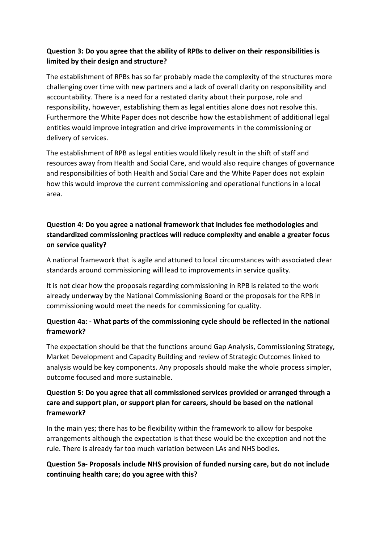## **Question 3: Do you agree that the ability of RPBs to deliver on their responsibilities is limited by their design and structure?**

The establishment of RPBs has so far probably made the complexity of the structures more challenging over time with new partners and a lack of overall clarity on responsibility and accountability. There is a need for a restated clarity about their purpose, role and responsibility, however, establishing them as legal entities alone does not resolve this. Furthermore the White Paper does not describe how the establishment of additional legal entities would improve integration and drive improvements in the commissioning or delivery of services.

The establishment of RPB as legal entities would likely result in the shift of staff and resources away from Health and Social Care, and would also require changes of governance and responsibilities of both Health and Social Care and the White Paper does not explain how this would improve the current commissioning and operational functions in a local area.

# **Question 4: Do you agree a national framework that includes fee methodologies and standardized commissioning practices will reduce complexity and enable a greater focus on service quality?**

A national framework that is agile and attuned to local circumstances with associated clear standards around commissioning will lead to improvements in service quality.

It is not clear how the proposals regarding commissioning in RPB is related to the work already underway by the National Commissioning Board or the proposals for the RPB in commissioning would meet the needs for commissioning for quality.

# **Question 4a: - What parts of the commissioning cycle should be reflected in the national framework?**

The expectation should be that the functions around Gap Analysis, Commissioning Strategy, Market Development and Capacity Building and review of Strategic Outcomes linked to analysis would be key components. Any proposals should make the whole process simpler, outcome focused and more sustainable.

#### **Question 5: Do you agree that all commissioned services provided or arranged through a care and support plan, or support plan for careers, should be based on the national framework?**

In the main yes; there has to be flexibility within the framework to allow for bespoke arrangements although the expectation is that these would be the exception and not the rule. There is already far too much variation between LAs and NHS bodies.

## **Question 5a- Proposals include NHS provision of funded nursing care, but do not include continuing health care; do you agree with this?**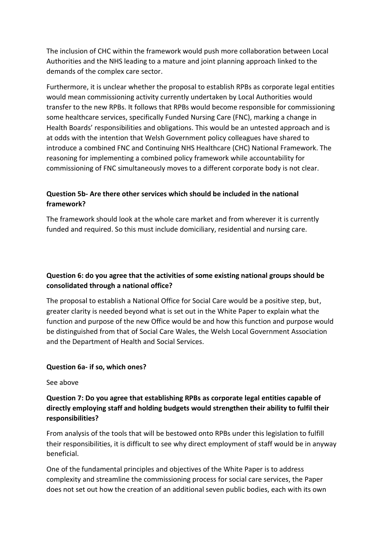The inclusion of CHC within the framework would push more collaboration between Local Authorities and the NHS leading to a mature and joint planning approach linked to the demands of the complex care sector.

Furthermore, it is unclear whether the proposal to establish RPBs as corporate legal entities would mean commissioning activity currently undertaken by Local Authorities would transfer to the new RPBs. It follows that RPBs would become responsible for commissioning some healthcare services, specifically Funded Nursing Care (FNC), marking a change in Health Boards' responsibilities and obligations. This would be an untested approach and is at odds with the intention that Welsh Government policy colleagues have shared to introduce a combined FNC and Continuing NHS Healthcare (CHC) National Framework. The reasoning for implementing a combined policy framework while accountability for commissioning of FNC simultaneously moves to a different corporate body is not clear.

# **Question 5b- Are there other services which should be included in the national framework?**

The framework should look at the whole care market and from wherever it is currently funded and required. So this must include domiciliary, residential and nursing care.

# **Question 6: do you agree that the activities of some existing national groups should be consolidated through a national office?**

The proposal to establish a National Office for Social Care would be a positive step, but, greater clarity is needed beyond what is set out in the White Paper to explain what the function and purpose of the new Office would be and how this function and purpose would be distinguished from that of Social Care Wales, the Welsh Local Government Association and the Department of Health and Social Services.

## **Question 6a- if so, which ones?**

#### See above

# **Question 7: Do you agree that establishing RPBs as corporate legal entities capable of directly employing staff and holding budgets would strengthen their ability to fulfil their responsibilities?**

From analysis of the tools that will be bestowed onto RPBs under this legislation to fulfill their responsibilities, it is difficult to see why direct employment of staff would be in anyway beneficial.

One of the fundamental principles and objectives of the White Paper is to address complexity and streamline the commissioning process for social care services, the Paper does not set out how the creation of an additional seven public bodies, each with its own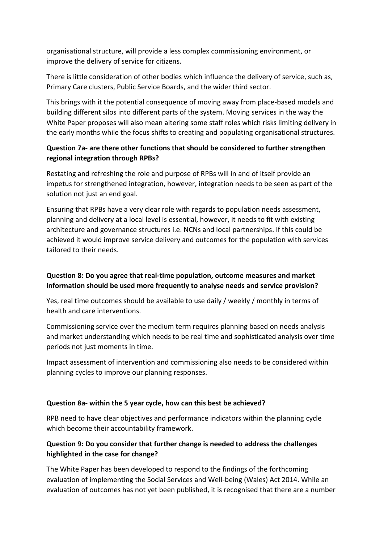organisational structure, will provide a less complex commissioning environment, or improve the delivery of service for citizens.

There is little consideration of other bodies which influence the delivery of service, such as, Primary Care clusters, Public Service Boards, and the wider third sector.

This brings with it the potential consequence of moving away from place-based models and building different silos into different parts of the system. Moving services in the way the White Paper proposes will also mean altering some staff roles which risks limiting delivery in the early months while the focus shifts to creating and populating organisational structures.

#### **Question 7a- are there other functions that should be considered to further strengthen regional integration through RPBs?**

Restating and refreshing the role and purpose of RPBs will in and of itself provide an impetus for strengthened integration, however, integration needs to be seen as part of the solution not just an end goal.

Ensuring that RPBs have a very clear role with regards to population needs assessment, planning and delivery at a local level is essential, however, it needs to fit with existing architecture and governance structures i.e. NCNs and local partnerships. If this could be achieved it would improve service delivery and outcomes for the population with services tailored to their needs.

## **Question 8: Do you agree that real-time population, outcome measures and market information should be used more frequently to analyse needs and service provision?**

Yes, real time outcomes should be available to use daily / weekly / monthly in terms of health and care interventions.

Commissioning service over the medium term requires planning based on needs analysis and market understanding which needs to be real time and sophisticated analysis over time periods not just moments in time.

Impact assessment of intervention and commissioning also needs to be considered within planning cycles to improve our planning responses.

#### **Question 8a- within the 5 year cycle, how can this best be achieved?**

RPB need to have clear objectives and performance indicators within the planning cycle which become their accountability framework.

## **Question 9: Do you consider that further change is needed to address the challenges highlighted in the case for change?**

The White Paper has been developed to respond to the findings of the forthcoming evaluation of implementing the Social Services and Well-being (Wales) Act 2014. While an evaluation of outcomes has not yet been published, it is recognised that there are a number